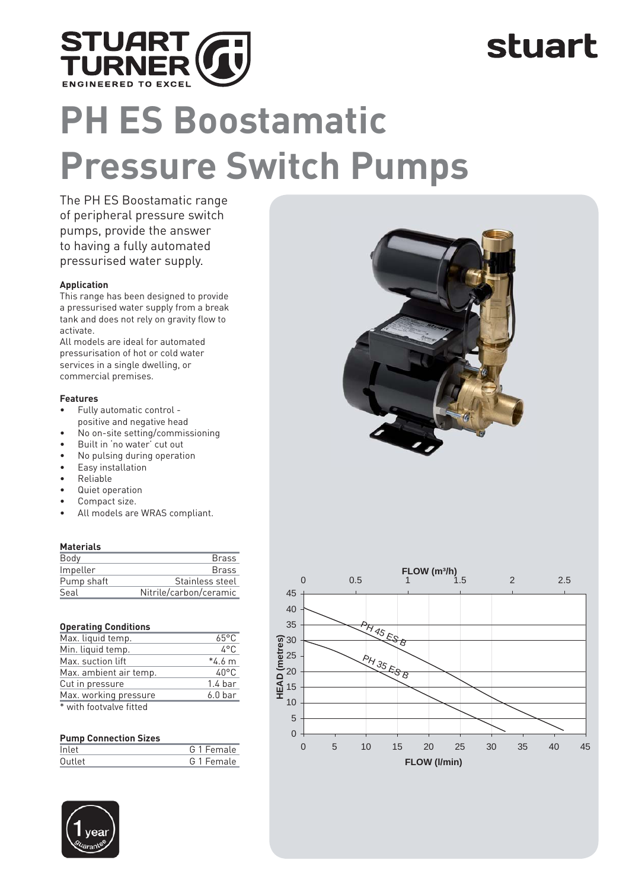

### stuart

# **PH ES Boostamatic Pressure Switch Pumps**

The PH ES Boostamatic range of peripheral pressure switch pumps, provide the answer to having a fully automated pressurised water supply.

#### **Application**

This range has been designed to provide a pressurised water supply from a break tank and does not rely on gravity flow to activate.

All models are ideal for automated pressurisation of hot or cold water services in a single dwelling, or commercial premises.

#### **Features**

- Fully automatic control -
- positive and negative head
- No on-site setting/commissioning
- Built in 'no water' cut out<br>• No pulsing during operati
- No pulsing during operation
- Easy installation • Reliable
- Quiet operation
- Compact size.
- All models are WRAS compliant.

#### **Materials**

| Body       | <b>Brass</b>           |
|------------|------------------------|
| Impeller   | <b>Brass</b>           |
| Pump shaft | Stainless steel        |
| Seal       | Nitrile/carbon/ceramic |

| <b>Operating Conditions</b> |
|-----------------------------|
|                             |

| Max. liquid temp.       | $65^{\circ}$ C     |
|-------------------------|--------------------|
| Min. liquid temp.       | $4^{\circ}$ C      |
| Max. suction lift       | $*4.6 m$           |
| Max. ambient air temp.  | $40^{\circ}$ C     |
| Cut in pressure         | 1.4 <sub>bar</sub> |
| Max. working pressure   | $6.0b$ ar          |
| * with footvalve fitted |                    |

#### **Pump Connection Sizes**

| Inlet     | G 1 Female |
|-----------|------------|
| $0$ utlet | G 1 Female |
|           |            |